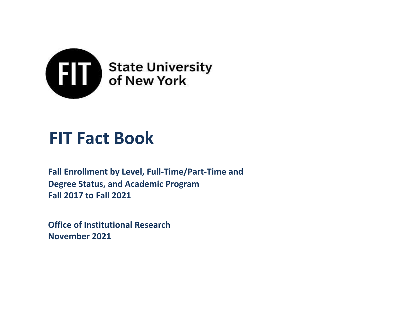

# **FIT Fact Book**

**Fall 2017 to Fall 2021 Fall Enrollment by Level, Full-Time/Part-Time and Degree Status, and Academic Program**

**Office of Institutional Research November 2021**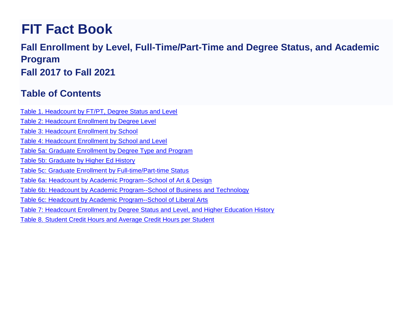# **FIT Fact Book**

# **Fall Enrollment by Level, Full-Time/Part-Time and Degree Status, and Academic Program Fall 2017 to Fall 2021**

# **Table of Contents**

- Table 1. Headcount by FT/PT, Degree Status and Level
- Table 2: Headcount Enrollment by Degree Level
- Table 3: Headcount Enrollment by School
- Table 4: Headcount Enrollment by School and Level
- Table 5a: Graduate Enrollment by Degree Type and Program
- Table 5b: Graduate by Higher Ed History
- Table 5c: Graduate Enrollment by Full-time/Part-time Status
- Table 6a: Headcount by Academic Program--School of Art & Design
- Table 6b: Headcount by Academic Program--School of Business and Technology
- Table 6c: Headcount by Academic Program--School of Liberal Arts
- Table 7: Headcount Enrollment by Degree Status and Level, and Higher Education History
- Table 8. Student Credit Hours and Average Credit Hours per Student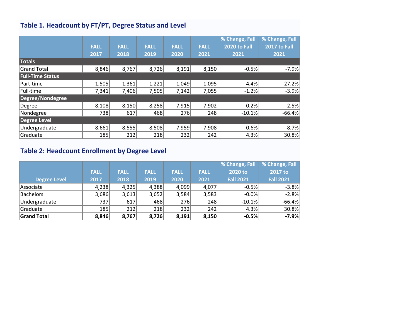#### **Table 1. Headcount by FT/PT, Degree Status and Level**

|                         |             |             |             |             |             | % Change, Fall      | % Change, Fall |
|-------------------------|-------------|-------------|-------------|-------------|-------------|---------------------|----------------|
|                         | <b>FALL</b> | <b>FALL</b> | <b>FALL</b> | <b>FALL</b> | <b>FALL</b> | <b>2020 to Fall</b> | 2017 to Fall   |
|                         | 2017        | 2018        | 2019        | 2020        | 2021        | 2021                | 2021           |
| <b>Totals</b>           |             |             |             |             |             |                     |                |
| <b>Grand Total</b>      | 8,846       | 8,767       | 8,726       | 8,191       | 8,150       | $-0.5%$             | $-7.9%$        |
| <b>Full-Time Status</b> |             |             |             |             |             |                     |                |
| Part-time               | 1,505       | 1,361       | 1,221       | 1,049       | 1,095       | 4.4%                | $-27.2%$       |
| Full-time               | 7,341       | 7,406       | 7,505       | 7,142       | 7,055       | $-1.2%$             | $-3.9%$        |
| Degree/Nondegree        |             |             |             |             |             |                     |                |
| Degree                  | 8,108       | 8,150       | 8,258       | 7,915       | 7,902       | $-0.2%$             | $-2.5%$        |
| Nondegree               | 738         | 617         | 468         | 276         | 248         | $-10.1%$            | $-66.4%$       |
| Degree Level            |             |             |             |             |             |                     |                |
| Undergraduate           | 8,661       | 8,555       | 8,508       | 7,959       | 7,908       | $-0.6%$             | $-8.7%$        |
| Graduate                | 185         | 212         | 218         | 232         | 242         | 4.3%                | 30.8%          |

# **Table 2: Headcount Enrollment by Degree Level**

|                     |             |             |             |             |             | <b>% Change, Fall</b> | % Change, Fall   |
|---------------------|-------------|-------------|-------------|-------------|-------------|-----------------------|------------------|
|                     | <b>FALL</b> | <b>FALL</b> | <b>FALL</b> | <b>FALL</b> | <b>FALL</b> | 2020 to               | 2017 to          |
| <b>Degree Level</b> | 2017        | 2018        | 2019        | 2020        | 2021        | <b>Fall 2021</b>      | <b>Fall 2021</b> |
| <i>Associate</i>    | 4,238       | 4,325       | 4,388       | 4,099       | 4,077       | $-0.5%$               | $-3.8%$          |
| Bachelors           | 3,686       | 3,613       | 3,652       | 3,584       | 3,583       | $-0.0\%$              | $-2.8%$          |
| Undergraduate       | 737         | 617         | 468         | 276         | 248         | $-10.1%$              | $-66.4%$         |
| Graduate            | 185         | 212         | 218         | 232         | 242         | 4.3%                  | 30.8%            |
| <b>Grand Total</b>  | 8,846       | 8,767       | 8,726       | 8,191       | 8,150       | $-0.5%$               | $-7.9%$          |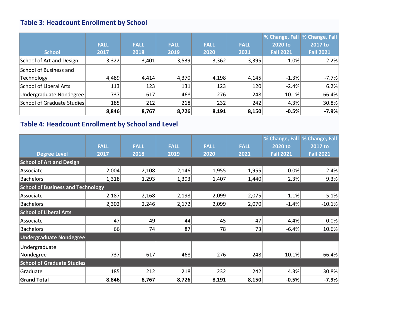# **Table 3: Headcount Enrollment by School**

|                            |             |             |             |             |             | % Change, Fall   % Change, Fall |                  |
|----------------------------|-------------|-------------|-------------|-------------|-------------|---------------------------------|------------------|
|                            | <b>FALL</b> | <b>FALL</b> | <b>FALL</b> | <b>FALL</b> | <b>FALL</b> | 2020 to                         | 2017 to          |
| <b>School</b>              | 2017        | 2018        | 2019        | 2020        | 2021        | <b>Fall 2021</b>                | <b>Fall 2021</b> |
| School of Art and Design   | 3,322       | 3,401       | 3,539       | 3,362       | 3,395       | 1.0%                            | 2.2%             |
| School of Business and     |             |             |             |             |             |                                 |                  |
| Technology                 | 4,489       | 4,414       | 4,370       | 4,198       | 4,145       | $-1.3%$                         | $-7.7%$          |
| School of Liberal Arts     | 113         | 123         | 131         | 123         | 120         | $-2.4%$                         | 6.2%             |
| Undergraduate Nondegree    | 737         | 617         | 468         | 276         | 248         | $-10.1%$                        | $-66.4%$         |
| School of Graduate Studies | 185         | 212         | 218         | 232         | 242         | 4.3%                            | 30.8%            |
|                            | 8,846       | 8,767       | 8,726       | 8,191       | 8,150       | $-0.5%$                         | $-7.9%$          |

# **Table 4: Headcount Enrollment by School and Level**

|                                          |             |             |             |             |             | % Change, Fall   | % Change, Fall   |
|------------------------------------------|-------------|-------------|-------------|-------------|-------------|------------------|------------------|
|                                          | <b>FALL</b> | <b>FALL</b> | <b>FALL</b> | <b>FALL</b> | <b>FALL</b> | 2020 to          | 2017 to          |
| <b>Degree Level</b>                      | 2017        | 2018        | 2019        | 2020        | 2021        | <b>Fall 2021</b> | <b>Fall 2021</b> |
| <b>School of Art and Design</b>          |             |             |             |             |             |                  |                  |
| Associate                                | 2,004       | 2,108       | 2,146       | 1,955       | 1,955       | 0.0%             | $-2.4%$          |
| <b>Bachelors</b>                         | 1,318       | 1,293       | 1,393       | 1,407       | 1,440       | 2.3%             | 9.3%             |
| <b>School of Business and Technology</b> |             |             |             |             |             |                  |                  |
| Associate                                | 2,187       | 2,168       | 2,198       | 2,099       | 2,075       | $-1.1%$          | $-5.1%$          |
| <b>Bachelors</b>                         | 2,302       | 2,246       | 2,172       | 2,099       | 2,070       | $-1.4%$          | $-10.1%$         |
| <b>School of Liberal Arts</b>            |             |             |             |             |             |                  |                  |
| Associate                                | 47          | 49          | 44          | 45          | 47          | 4.4%             | 0.0%             |
| <b>Bachelors</b>                         | 66          | 74          | 87          | 78          | 73          | $-6.4%$          | 10.6%            |
| <b>Undergraduate Nondegree</b>           |             |             |             |             |             |                  |                  |
| Undergraduate                            |             |             |             |             |             |                  |                  |
| Nondegree                                | 737         | 617         | 468         | 276         | 248         | $-10.1%$         | $-66.4%$         |
| <b>School of Graduate Studies</b>        |             |             |             |             |             |                  |                  |
| Graduate                                 | 185         | 212         | 218         | 232         | 242         | 4.3%             | 30.8%            |
| <b>Grand Total</b>                       | 8,846       | 8,767       | 8,726       | 8,191       | 8,150       | $-0.5%$          | $-7.9%$          |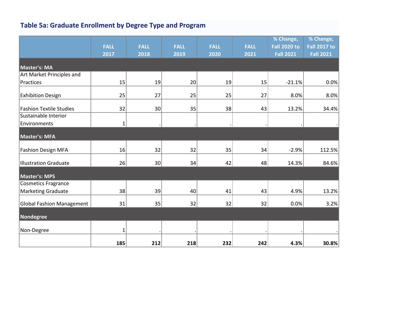# **Table 5a: Graduate Enrollment by Degree Type and Program**

|                                | <b>FALL</b>  | <b>FALL</b>     | <b>FALL</b> | <b>FALL</b> | <b>FALL</b> | % Change,<br><b>Fall 2020 to</b> | % Change,<br><b>Fall 2017 to</b> |
|--------------------------------|--------------|-----------------|-------------|-------------|-------------|----------------------------------|----------------------------------|
|                                | 2017         | 2018            | 2019        | 2020        | 2021        | <b>Fall 2021</b>                 | <b>Fall 2021</b>                 |
| Master's: MA                   |              |                 |             |             |             |                                  |                                  |
| Art Market Principles and      |              |                 |             |             |             |                                  |                                  |
| Practices                      | 15           | 19              | 20          | 19          | 15          | $-21.1%$                         | 0.0%                             |
| <b>Exhibition Design</b>       | 25           | 27              | 25          | 25          | 27          | 8.0%                             | 8.0%                             |
| <b>Fashion Textile Studies</b> | 32           | 30              | 35          | 38          | 43          | 13.2%                            | 34.4%                            |
| Sustainable Interior           |              |                 |             |             |             |                                  |                                  |
| Environments                   | $\mathbf{1}$ |                 |             |             |             |                                  |                                  |
| Master's: MFA                  |              |                 |             |             |             |                                  |                                  |
| <b>Fashion Design MFA</b>      | 16           | 32              | 32          | 35          | 34          | $-2.9%$                          | 112.5%                           |
| Illustration Graduate          | 26           | 30 <sup>2</sup> | 34          | 42          | 48          | 14.3%                            | 84.6%                            |
| <b>Master's: MPS</b>           |              |                 |             |             |             |                                  |                                  |
| <b>Cosmetics Fragrance</b>     |              |                 |             |             |             |                                  |                                  |
| <b>Marketing Graduate</b>      | 38           | 39              | 40          | 41          | 43          | 4.9%                             | 13.2%                            |
| Global Fashion Management      | 31           | 35              | 32          | 32          | 32          | 0.0%                             | 3.2%                             |
| Nondegree                      |              |                 |             |             |             |                                  |                                  |
| Non-Degree                     | 1            |                 |             |             |             |                                  |                                  |
|                                | 185          | 212             | 218         | 232         | 242         | 4.3%                             | 30.8%                            |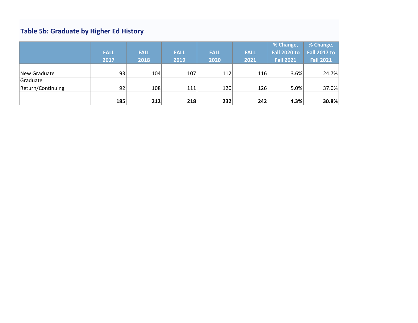# **Table 5b: Graduate by Higher Ed History**

|                   |             |             |             |             |             | % Change,           | % Change,           |
|-------------------|-------------|-------------|-------------|-------------|-------------|---------------------|---------------------|
|                   | <b>FALL</b> | <b>FALL</b> | <b>FALL</b> | <b>FALL</b> | <b>FALL</b> | <b>Fall 2020 to</b> | <b>Fall 2017 to</b> |
|                   | 2017        | 2018        | 2019        | 2020        | 2021        | <b>Fall 2021</b>    | <b>Fall 2021</b>    |
|                   |             |             |             |             |             |                     |                     |
| New Graduate      | 93          | 104         | 107         | 112         | 116         | 3.6%                | 24.7%               |
| Graduate          |             |             |             |             |             |                     |                     |
| Return/Continuing | 92          | 108         | 111         | 120         | 126         | 5.0%                | 37.0%               |
|                   |             |             |             |             |             |                     |                     |
|                   | 185         | 212         | 218         | 232         | 242         | 4.3%                | 30.8%               |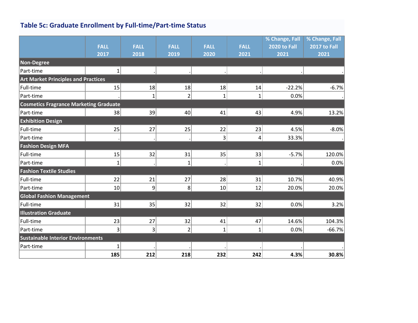# **Table 5c: Graduate Enrollment by Full-time/Part-time Status**

|                                               |                |                |                |                 |                | % Change, Fall      | % Change, Fall      |
|-----------------------------------------------|----------------|----------------|----------------|-----------------|----------------|---------------------|---------------------|
|                                               | <b>FALL</b>    | <b>FALL</b>    | <b>FALL</b>    | <b>FALL</b>     | <b>FALL</b>    | <b>2020 to Fall</b> | <b>2017 to Fall</b> |
|                                               | 2017           | 2018           | 2019           | 2020            | 2021           | 2021                | 2021                |
| Non-Degree                                    |                |                |                |                 |                |                     |                     |
| Part-time                                     | $\mathbf{1}$   |                |                |                 |                |                     |                     |
| <b>Art Market Principles and Practices</b>    |                |                |                |                 |                |                     |                     |
| Full-time                                     | 15             | 18             | 18             | 18              | 14             | $-22.2%$            | $-6.7%$             |
| Part-time                                     |                | $\mathbf{1}$   | $\overline{2}$ | $\mathbf{1}$    | $\mathbf{1}$   | 0.0%                |                     |
| <b>Cosmetics Fragrance Marketing Graduate</b> |                |                |                |                 |                |                     |                     |
| Part-time                                     | 38             | 39             | 40             | 41              | 43             | 4.9%                | 13.2%               |
| <b>Exhibition Design</b>                      |                |                |                |                 |                |                     |                     |
| Full-time                                     | 25             | 27             | 25             | 22              | 23             | 4.5%                | $-8.0%$             |
| Part-time                                     |                |                |                | $\mathsf{3}$    | $\overline{4}$ | 33.3%               |                     |
| <b>Fashion Design MFA</b>                     |                |                |                |                 |                |                     |                     |
| Full-time                                     | 15             | 32             | 31             | 35              | 33             | $-5.7%$             | 120.0%              |
| Part-time                                     | $\mathbf{1}$   |                | $\mathbf{1}$   |                 | $\mathbf{1}$   |                     | 0.0%                |
| <b>Fashion Textile Studies</b>                |                |                |                |                 |                |                     |                     |
| Full-time                                     | 22             | 21             | 27             | 28              | 31             | 10.7%               | 40.9%               |
| Part-time                                     | 10             | $\mathsf{g}$   | 8 <sup>1</sup> | 10 <sup>1</sup> | 12             | 20.0%               | 20.0%               |
| <b>Global Fashion Management</b>              |                |                |                |                 |                |                     |                     |
| Full-time                                     | 31             | 35             | 32             | 32              | 32             | 0.0%                | 3.2%                |
| <b>Illustration Graduate</b>                  |                |                |                |                 |                |                     |                     |
| Full-time                                     | 23             | 27             | 32             | 41              | 47             | 14.6%               | 104.3%              |
| Part-time                                     | 3 <sup>1</sup> | $\overline{3}$ | $\overline{2}$ | $\mathbf{1}$    | $\mathbf{1}$   | 0.0%                | $-66.7%$            |
| <b>Sustainable Interior Environments</b>      |                |                |                |                 |                |                     |                     |
| Part-time                                     | $\mathbf{1}$   |                |                |                 |                |                     |                     |
|                                               | 185            | 212            | 218            | 232             | 242            | 4.3%                | 30.8%               |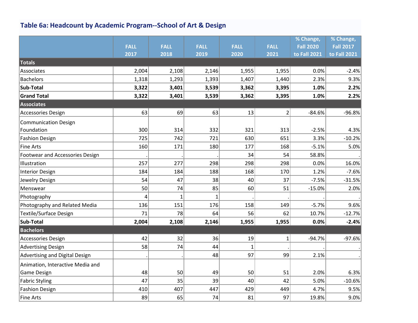# **Table 6a: Headcount by Academic Program--School of Art & Design**

|                                  |             |             |             |              |                | % Change,        | % Change,        |
|----------------------------------|-------------|-------------|-------------|--------------|----------------|------------------|------------------|
|                                  | <b>FALL</b> | <b>FALL</b> | <b>FALL</b> | <b>FALL</b>  | <b>FALL</b>    | <b>Fall 2020</b> | <b>Fall 2017</b> |
|                                  | 2017        | 2018        | 2019        | 2020         | 2021           | to Fall 2021     | to Fall 2021     |
| <b>Totals</b>                    |             |             |             |              |                |                  |                  |
| Associates                       | 2,004       | 2,108       | 2,146       | 1,955        | 1,955          | 0.0%             | $-2.4%$          |
| <b>Bachelors</b>                 | 1,318       | 1,293       | 1,393       | 1,407        | 1,440          | 2.3%             | 9.3%             |
| Sub-Total                        | 3,322       | 3,401       | 3,539       | 3,362        | 3,395          | 1.0%             | 2.2%             |
| <b>Grand Total</b>               | 3,322       | 3,401       | 3,539       | 3,362        | 3,395          | 1.0%             | 2.2%             |
| <b>Associates</b>                |             |             |             |              |                |                  |                  |
| Accessories Design               | 63          | 69          | 63          | 13           | $\overline{2}$ | $-84.6%$         | $-96.8%$         |
| <b>Communication Design</b>      |             |             |             |              |                |                  |                  |
| Foundation                       | 300         | 314         | 332         | 321          | 313            | $-2.5%$          | 4.3%             |
| <b>Fashion Design</b>            | 725         | 742         | 721         | 630          | 651            | 3.3%             | $-10.2%$         |
| <b>Fine Arts</b>                 | 160         | 171         | 180         | 177          | 168            | $-5.1%$          | 5.0%             |
| Footwear and Accessories Design  |             |             |             | 34           | 54             | 58.8%            |                  |
| Illustration                     | 257         | 277         | 298         | 298          | 298            | 0.0%             | 16.0%            |
| <b>Interior Design</b>           | 184         | 184         | 188         | 168          | 170            | 1.2%             | $-7.6%$          |
| Jewelry Design                   | 54          | 47          | 38          | 40           | 37             | $-7.5%$          | $-31.5%$         |
| Menswear                         | 50          | 74          | 85          | 60           | 51             | $-15.0%$         | 2.0%             |
| Photography                      | 4           | 1           | 1           |              |                |                  |                  |
| Photography and Related Media    | 136         | 151         | 176         | 158          | 149            | $-5.7%$          | 9.6%             |
| Textile/Surface Design           | 71          | 78          | 64          | 56           | 62             | 10.7%            | $-12.7%$         |
| Sub-Total                        | 2,004       | 2,108       | 2,146       | 1,955        | 1,955          | 0.0%             | $-2.4%$          |
| <b>Bachelors</b>                 |             |             |             |              |                |                  |                  |
| Accessories Design               | 42          | 32          | 36          | 19           | $\mathbf{1}$   | $-94.7%$         | $-97.6%$         |
| <b>Advertising Design</b>        | 58          | 74          | 44          | $\mathbf{1}$ |                |                  |                  |
| Advertising and Digital Design   |             |             | 48          | 97           | 99             | 2.1%             |                  |
| Animation, Interactive Media and |             |             |             |              |                |                  |                  |
| Game Design                      | 48          | 50          | 49          | 50           | 51             | 2.0%             | 6.3%             |
| <b>Fabric Styling</b>            | 47          | 35          | 39          | 40           | 42             | 5.0%             | $-10.6%$         |
| <b>Fashion Design</b>            | 410         | 407         | 447         | 429          | 449            | 4.7%             | 9.5%             |
| Fine Arts                        | 89          | 65          | 74          | 81           | 97             | 19.8%            | 9.0%             |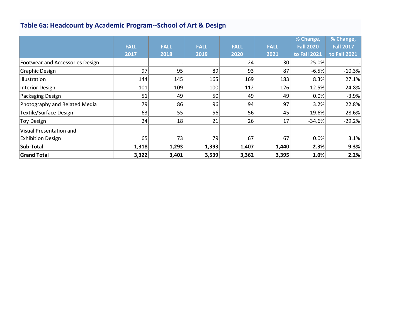# **Table 6a: Headcount by Academic Program--School of Art & Design**

|                                        |             |             |                 |             |             | % Change,        | % Change,    |
|----------------------------------------|-------------|-------------|-----------------|-------------|-------------|------------------|--------------|
|                                        | <b>FALL</b> | <b>FALL</b> | <b>FALL</b>     | <b>FALL</b> | <b>FALL</b> | <b>Fall 2020</b> | Fall 2017    |
|                                        | 2017        | 2018        | 2019            | 2020        | 2021        | to Fall 2021     | to Fall 2021 |
| <b>Footwear and Accessories Design</b> |             |             |                 | 24          | 30          | 25.0%            |              |
| Graphic Design                         | 97          | 95          | 89              | 93          | 87          | $-6.5%$          | $-10.3%$     |
| Illustration                           | 144         | 145         | 165             | 169         | 183         | 8.3%             | 27.1%        |
| Interior Design                        | 101         | 109         | 100             | 112         | 126         | 12.5%            | 24.8%        |
| Packaging Design                       | 51          | 49          | 50 <sup>2</sup> | 49          | 49          | 0.0%             | $-3.9%$      |
| Photography and Related Media          | 79          | 86          | 96              | 94          | 97          | 3.2%             | 22.8%        |
| <b>Textile/Surface Design</b>          | 63          | 55          | 56              | 56          | 45          | $-19.6%$         | $-28.6%$     |
| <b>Toy Design</b>                      | 24          | 18          | 21              | 26          | 17          | $-34.6%$         | $-29.2%$     |
| Visual Presentation and                |             |             |                 |             |             |                  |              |
| <b>Exhibition Design</b>               | 65          | 73          | 79              | 67          | 67          | 0.0%             | 3.1%         |
| Sub-Total                              | 1,318       | 1,293       | 1,393           | 1,407       | 1,440       | 2.3%             | 9.3%         |
| <b>Grand Total</b>                     | 3,322       | 3,401       | 3,539           | 3,362       | 3,395       | 1.0%             | 2.2%         |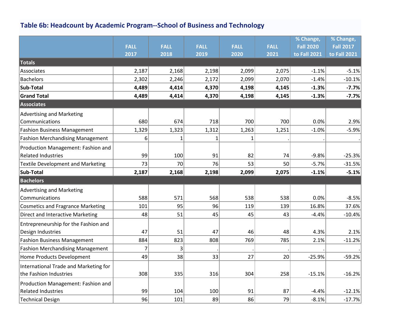# **Table 6b: Headcount by Academic Program--School of Business and Technology**

|                                          |             |             |             |             |             | % Change,        | % Change,        |
|------------------------------------------|-------------|-------------|-------------|-------------|-------------|------------------|------------------|
|                                          | <b>FALL</b> | <b>FALL</b> | <b>FALL</b> | <b>FALL</b> | <b>FALL</b> | <b>Fall 2020</b> | <b>Fall 2017</b> |
|                                          | 2017        | 2018        | 2019        | 2020        | 2021        | to Fall 2021     | to Fall 2021     |
| Totals                                   |             |             |             |             |             |                  |                  |
| Associates                               | 2,187       | 2,168       | 2,198       | 2,099       | 2,075       | $-1.1%$          | $-5.1%$          |
| <b>Bachelors</b>                         | 2,302       | 2,246       | 2,172       | 2,099       | 2,070       | $-1.4%$          | $-10.1%$         |
| Sub-Total                                | 4,489       | 4,414       | 4,370       | 4,198       | 4,145       | $-1.3%$          | $-7.7%$          |
| <b>Grand Total</b>                       | 4,489       | 4,414       | 4,370       | 4,198       | 4,145       | $-1.3%$          | $-7.7%$          |
| <b>Associates</b>                        |             |             |             |             |             |                  |                  |
| <b>Advertising and Marketing</b>         |             |             |             |             |             |                  |                  |
| Communications                           | 680         | 674         | 718         | 700         | 700         | 0.0%             | 2.9%             |
| <b>Fashion Business Management</b>       | 1,329       | 1,323       | 1,312       | 1,263       | 1,251       | $-1.0%$          | $-5.9%$          |
| <b>Fashion Merchandising Management</b>  | 6           | 1           | 1           | 1           |             |                  |                  |
| Production Management: Fashion and       |             |             |             |             |             |                  |                  |
| <b>Related Industries</b>                | 99          | 100         | 91          | 82          | 74          | $-9.8%$          | $-25.3%$         |
| <b>Textile Development and Marketing</b> | 73          | 70          | 76          | 53          | 50          | $-5.7%$          | $-31.5%$         |
| Sub-Total                                | 2,187       | 2,168       | 2,198       | 2,099       | 2,075       | $-1.1%$          | $-5.1%$          |
| <b>Bachelors</b>                         |             |             |             |             |             |                  |                  |
| <b>Advertising and Marketing</b>         |             |             |             |             |             |                  |                  |
| Communications                           | 588         | 571         | 568         | 538         | 538         | 0.0%             | $-8.5%$          |
| <b>Cosmetics and Fragrance Marketing</b> | 101         | 95          | 96          | 119         | 139         | 16.8%            | 37.6%            |
| Direct and Interactive Marketing         | 48          | 51          | 45          | 45          | 43          | $-4.4%$          | $-10.4%$         |
| Entrepreneurship for the Fashion and     |             |             |             |             |             |                  |                  |
| Design Industries                        | 47          | 51          | 47          | 46          | 48          | 4.3%             | 2.1%             |
| <b>Fashion Business Management</b>       | 884         | 823         | 808         | 769         | 785         | 2.1%             | $-11.2%$         |
| <b>Fashion Merchandising Management</b>  | 7           | 3           |             |             |             |                  |                  |
| Home Products Development                | 49          | 38          | 33          | 27          | 20          | $-25.9%$         | $-59.2%$         |
| International Trade and Marketing for    |             |             |             |             |             |                  |                  |
| the Fashion Industries                   | 308         | 335         | 316         | 304         | 258         | $-15.1%$         | $-16.2%$         |
| Production Management: Fashion and       |             |             |             |             |             |                  |                  |
| <b>Related Industries</b>                | 99          | 104         | 100         | 91          | 87          | $-4.4%$          | $-12.1%$         |
| Technical Design                         | 96          | 101         | 89          | 86          | 79          | $-8.1%$          | $-17.7%$         |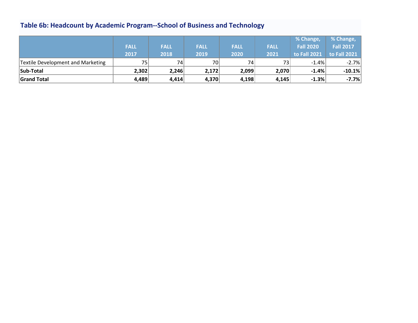# **Table 6b: Headcount by Academic Program--School of Business and Technology**

|                                   |                 |                 |             |                 |                 | % Change,        | % Change,        |
|-----------------------------------|-----------------|-----------------|-------------|-----------------|-----------------|------------------|------------------|
|                                   | <b>FALL</b>     | <b>FALL</b>     | <b>FALL</b> | <b>FALL</b>     | <b>FALL</b>     | <b>Fall 2020</b> | <b>Fall 2017</b> |
|                                   | 2017            | 2018            | 2019        | 2020            | 2021            | to Fall 2021     | to Fall 2021     |
| Textile Development and Marketing | 75 <sub>1</sub> | 74 <sub>1</sub> | 70          | 74 <sub>1</sub> | 73 <sub>1</sub> | $-1.4%$          | $-2.7%$          |
| Sub-Total                         | 2,302           | 2,246           | 2,172       | 2,099           | 2,070           | $-1.4%$          | $-10.1%$         |
| Grand Total                       | 4,489           | 4,414           | 4,370       | 4,198           | 4,145           | $-1.3%$          | $-7.7%$          |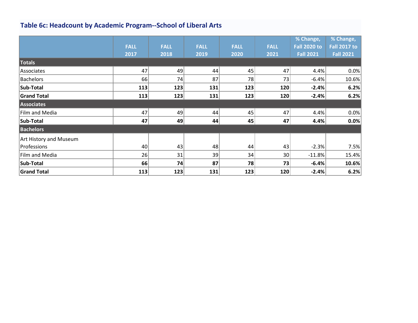# **Table 6c: Headcount by Academic Program--School of Liberal Arts**

|                        |             |             |             |             |             | % Change,           | % Change,           |
|------------------------|-------------|-------------|-------------|-------------|-------------|---------------------|---------------------|
|                        | <b>FALL</b> | <b>FALL</b> | <b>FALL</b> | <b>FALL</b> | <b>FALL</b> | <b>Fall 2020 to</b> | <b>Fall 2017 to</b> |
|                        | 2017        | 2018        | 2019        | 2020        | 2021        | <b>Fall 2021</b>    | Fall 2021           |
| <b>Totals</b>          |             |             |             |             |             |                     |                     |
| Associates             | 47          | 49          | 44          | 45          | 47          | 4.4%                | 0.0%                |
| <b>Bachelors</b>       | 66          | 74          | 87          | 78          | 73          | $-6.4%$             | 10.6%               |
| Sub-Total              | 113         | 123         | 131         | 123         | 120         | $-2.4%$             | 6.2%                |
| <b>Grand Total</b>     | 113         | 123         | 131         | 123         | 120         | $-2.4%$             | 6.2%                |
| Associates             |             |             |             |             |             |                     |                     |
| Film and Media         | 47          | 49          | 44          | 45          | 47          | 4.4%                | 0.0%                |
| Sub-Total              | 47          | 49          | 44          | 45          | 47          | 4.4%                | 0.0%                |
| <b>Bachelors</b>       |             |             |             |             |             |                     |                     |
| Art History and Museum |             |             |             |             |             |                     |                     |
| Professions            | 40          | 43          | 48          | 44          | 43          | $-2.3%$             | 7.5%                |
| Film and Media         | 26          | 31          | 39          | 34          | 30          | $-11.8%$            | 15.4%               |
| Sub-Total              | 66          | 74          | 87          | 78          | 73          | $-6.4%$             | 10.6%               |
| <b>Grand Total</b>     | 113         | 123         | 131         | 123         | 120         | $-2.4%$             | 6.2%                |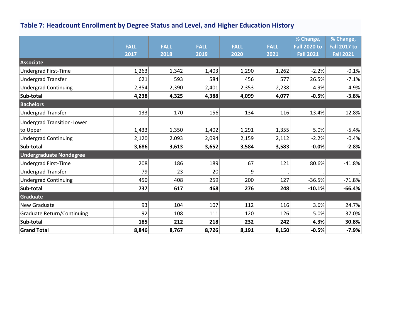# **Table 7: Headcount Enrollment by Degree Status and Level, and Higher Education History**

|                                   |             |             |             |             |             | % Change,           | % Change,           |
|-----------------------------------|-------------|-------------|-------------|-------------|-------------|---------------------|---------------------|
|                                   | <b>FALL</b> | <b>FALL</b> | <b>FALL</b> | <b>FALL</b> | <b>FALL</b> | <b>Fall 2020 to</b> | <b>Fall 2017 to</b> |
|                                   | 2017        | 2018        | 2019        | 2020        | 2021        | <b>Fall 2021</b>    | <b>Fall 2021</b>    |
| Associate                         |             |             |             |             |             |                     |                     |
| Undergrad First-Time              | 1,263       | 1,342       | 1,403       | 1,290       | 1,262       | $-2.2%$             | $-0.1%$             |
| <b>Undergrad Transfer</b>         | 621         | 593         | 584         | 456         | 577         | 26.5%               | $-7.1%$             |
| <b>Undergrad Continuing</b>       | 2,354       | 2,390       | 2,401       | 2,353       | 2,238       | $-4.9%$             | $-4.9%$             |
| Sub-total                         | 4,238       | 4,325       | 4,388       | 4,099       | 4,077       | $-0.5%$             | $-3.8%$             |
| <b>Bachelors</b>                  |             |             |             |             |             |                     |                     |
| <b>Undergrad Transfer</b>         | 133         | 170         | 156         | 134         | 116         | $-13.4%$            | $-12.8%$            |
| <b>Undergrad Transition-Lower</b> |             |             |             |             |             |                     |                     |
| to Upper                          | 1,433       | 1,350       | 1,402       | 1,291       | 1,355       | 5.0%                | $-5.4%$             |
| <b>Undergrad Continuing</b>       | 2,120       | 2,093       | 2,094       | 2,159       | 2,112       | $-2.2%$             | $-0.4%$             |
| Sub-total                         | 3,686       | 3,613       | 3,652       | 3,584       | 3,583       | $-0.0%$             | $-2.8%$             |
| <b>Undergraduate Nondegree</b>    |             |             |             |             |             |                     |                     |
| <b>Undergrad First-Time</b>       | 208         | 186         | 189         | 67          | 121         | 80.6%               | $-41.8%$            |
| <b>Undergrad Transfer</b>         | 79          | 23          | 20          | 9           |             |                     |                     |
| <b>Undergrad Continuing</b>       | 450         | 408         | 259         | 200         | 127         | $-36.5%$            | $-71.8%$            |
| Sub-total                         | 737         | 617         | 468         | 276         | 248         | $-10.1%$            | $-66.4%$            |
| <b>Graduate</b>                   |             |             |             |             |             |                     |                     |
| New Graduate                      | 93          | 104         | 107         | 112         | 116         | 3.6%                | 24.7%               |
| Graduate Return/Continuing        | 92          | 108         | 111         | 120         | 126         | 5.0%                | 37.0%               |
| Sub-total                         | 185         | 212         | 218         | 232         | 242         | 4.3%                | 30.8%               |
| <b>Grand Total</b>                | 8,846       | 8,767       | 8,726       | 8,191       | 8,150       | $-0.5%$             | $-7.9%$             |